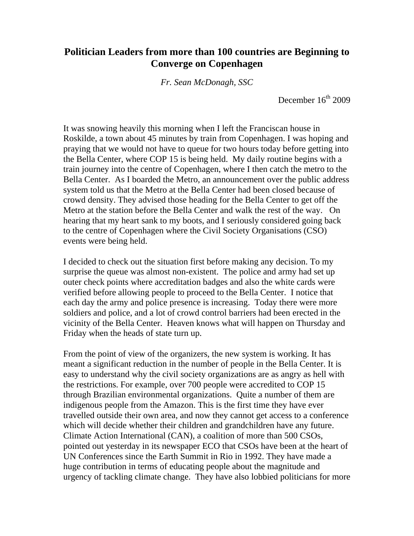## **Politician Leaders from more than 100 countries are Beginning to Converge on Copenhagen**

*Fr. Sean McDonagh, SSC*

December  $16<sup>th</sup> 2009$ 

It was snowing heavily this morning when I left the Franciscan house in Roskilde, a town about 45 minutes by train from Copenhagen. I was hoping and praying that we would not have to queue for two hours today before getting into the Bella Center, where COP 15 is being held. My daily routine begins with a train journey into the centre of Copenhagen, where I then catch the metro to the Bella Center. As I boarded the Metro, an announcement over the public address system told us that the Metro at the Bella Center had been closed because of crowd density. They advised those heading for the Bella Center to get off the Metro at the station before the Bella Center and walk the rest of the way. On hearing that my heart sank to my boots, and I seriously considered going back to the centre of Copenhagen where the Civil Society Organisations (CSO) events were being held.

I decided to check out the situation first before making any decision. To my surprise the queue was almost non-existent. The police and army had set up outer check points where accreditation badges and also the white cards were verified before allowing people to proceed to the Bella Center. I notice that each day the army and police presence is increasing. Today there were more soldiers and police, and a lot of crowd control barriers had been erected in the vicinity of the Bella Center. Heaven knows what will happen on Thursday and Friday when the heads of state turn up.

From the point of view of the organizers, the new system is working. It has meant a significant reduction in the number of people in the Bella Center. It is easy to understand why the civil society organizations are as angry as hell with the restrictions. For example, over 700 people were accredited to COP 15 through Brazilian environmental organizations. Quite a number of them are indigenous people from the Amazon. This is the first time they have ever travelled outside their own area, and now they cannot get access to a conference which will decide whether their children and grandchildren have any future. Climate Action International (CAN), a coalition of more than 500 CSOs, pointed out yesterday in its newspaper ECO that CSOs have been at the heart of UN Conferences since the Earth Summit in Rio in 1992. They have made a huge contribution in terms of educating people about the magnitude and urgency of tackling climate change. They have also lobbied politicians for more